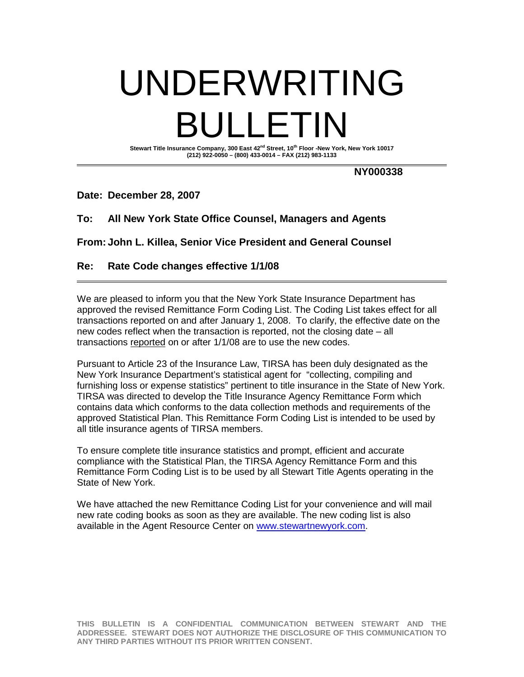# UNDERWRITING BULLETIN

**Stewart Title Insurance Company, 300 East 42nd Street, 10th Floor -New York, New York 10017 (212) 922-0050 – (800) 433-0014 – FAX (212) 983-1133**

**NY000338**

#### **Date: December 28, 2007**

## **To: All New York State Office Counsel, Managers and Agents**

**From: John L. Killea, Senior Vice President and General Counsel**

## **Re: Rate Code changes effective 1/1/08**

We are pleased to inform you that the New York State Insurance Department has approved the revised Remittance Form Coding List. The Coding List takes effect for all transactions reported on and after January 1, 2008. To clarify, the effective date on the new codes reflect when the transaction is reported, not the closing date – all transactions reported on or after 1/1/08 are to use the new codes.

Pursuant to Article 23 of the Insurance Law, TIRSA has been duly designated as the New York Insurance Department's statistical agent for "collecting, compiling and furnishing loss or expense statistics" pertinent to title insurance in the State of New York. TIRSA was directed to develop the Title Insurance Agency Remittance Form which contains data which conforms to the data collection methods and requirements of the approved Statistical Plan. This Remittance Form Coding List is intended to be used by all title insurance agents of TIRSA members.

To ensure complete title insurance statistics and prompt, efficient and accurate compliance with the Statistical Plan, the TIRSA Agency Remittance Form and this Remittance Form Coding List is to be used by all Stewart Title Agents operating in the State of New York.

We have attached the new Remittance Coding List for your convenience and will mail new rate coding books as soon as they are available. The new coding list is also available in the Agent Resource Center on www.stewartnewyork.com.